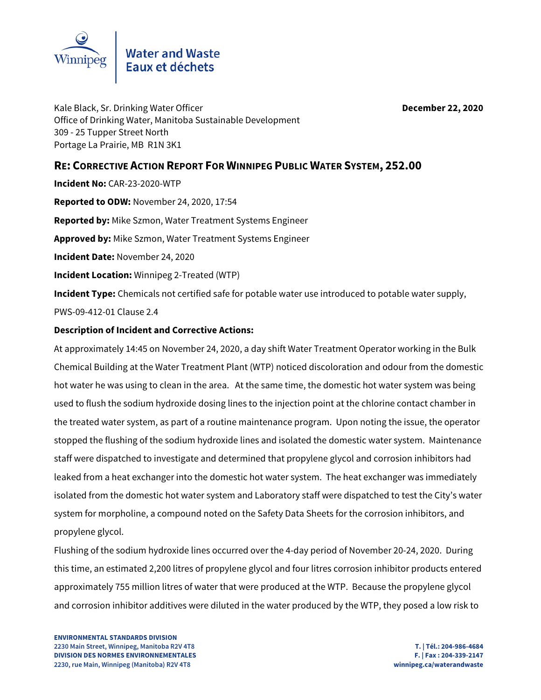

Kale Black, Sr. Drinking Water Officer **December 22, 2020** Office of Drinking Water, Manitoba Sustainable Development 309 - 25 Tupper Street North Portage La Prairie, MB R1N 3K1

### **RE: CORRECTIVE ACTION REPORT FOR WINNIPEG PUBLIC WATER SYSTEM, 252.00**

**Incident No:** CAR-23-2020-WTP **Reported to ODW:** November 24, 2020, 17:54 **Reported by:** Mike Szmon, Water Treatment Systems Engineer **Approved by:** Mike Szmon, Water Treatment Systems Engineer **Incident Date:** November 24, 2020 **Incident Location:** Winnipeg 2-Treated (WTP) **Incident Type:** Chemicals not certified safe for potable water use introduced to potable water supply, PWS-09-412-01 Clause 2.4

#### **Description of Incident and Corrective Actions:**

At approximately 14:45 on November 24, 2020, a day shift Water Treatment Operator working in the Bulk Chemical Building at the Water Treatment Plant (WTP) noticed discoloration and odour from the domestic hot water he was using to clean in the area. At the same time, the domestic hot water system was being used to flush the sodium hydroxide dosing lines to the injection point at the chlorine contact chamber in the treated water system, as part of a routine maintenance program. Upon noting the issue, the operator stopped the flushing of the sodium hydroxide lines and isolated the domestic water system. Maintenance staff were dispatched to investigate and determined that propylene glycol and corrosion inhibitors had leaked from a heat exchanger into the domestic hot water system. The heat exchanger was immediately isolated from the domestic hot water system and Laboratory staff were dispatched to test the City's water system for morpholine, a compound noted on the Safety Data Sheets for the corrosion inhibitors, and propylene glycol.

Flushing of the sodium hydroxide lines occurred over the 4-day period of November 20-24, 2020. During this time, an estimated 2,200 litres of propylene glycol and four litres corrosion inhibitor products entered approximately 755 million litres of water that were produced at the WTP. Because the propylene glycol and corrosion inhibitor additives were diluted in the water produced by the WTP, they posed a low risk to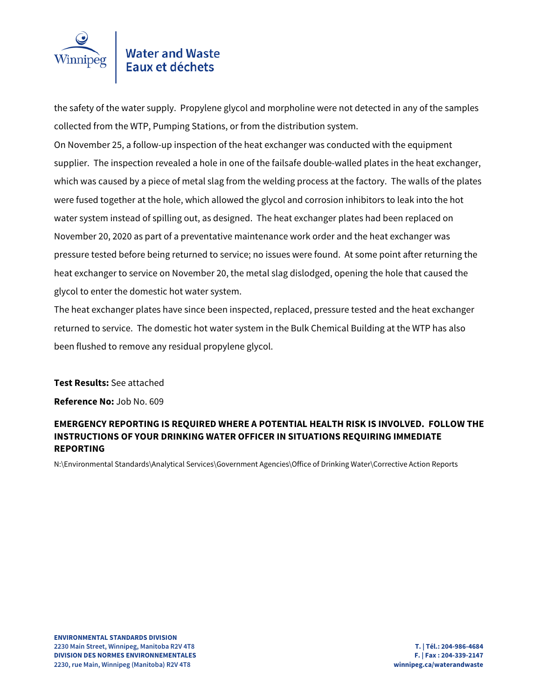

# Water and Waste<br>Eaux et déchets

the safety of the water supply. Propylene glycol and morpholine were not detected in any of the samples collected from the WTP, Pumping Stations, or from the distribution system.

On November 25, a follow-up inspection of the heat exchanger was conducted with the equipment supplier. The inspection revealed a hole in one of the failsafe double-walled plates in the heat exchanger, which was caused by a piece of metal slag from the welding process at the factory. The walls of the plates were fused together at the hole, which allowed the glycol and corrosion inhibitors to leak into the hot water system instead of spilling out, as designed. The heat exchanger plates had been replaced on November 20, 2020 as part of a preventative maintenance work order and the heat exchanger was pressure tested before being returned to service; no issues were found. At some point after returning the heat exchanger to service on November 20, the metal slag dislodged, opening the hole that caused the glycol to enter the domestic hot water system.

The heat exchanger plates have since been inspected, replaced, pressure tested and the heat exchanger returned to service. The domestic hot water system in the Bulk Chemical Building at the WTP has also been flushed to remove any residual propylene glycol.

**Test Results:** See attached

**Reference No:** Job No. 609

#### **EMERGENCY REPORTING IS REQUIRED WHERE A POTENTIAL HEALTH RISK IS INVOLVED. FOLLOW THE INSTRUCTIONS OF YOUR DRINKING WATER OFFICER IN SITUATIONS REQUIRING IMMEDIATE REPORTING**

N:\Environmental Standards\Analytical Services\Government Agencies\Office of Drinking Water\Corrective Action Reports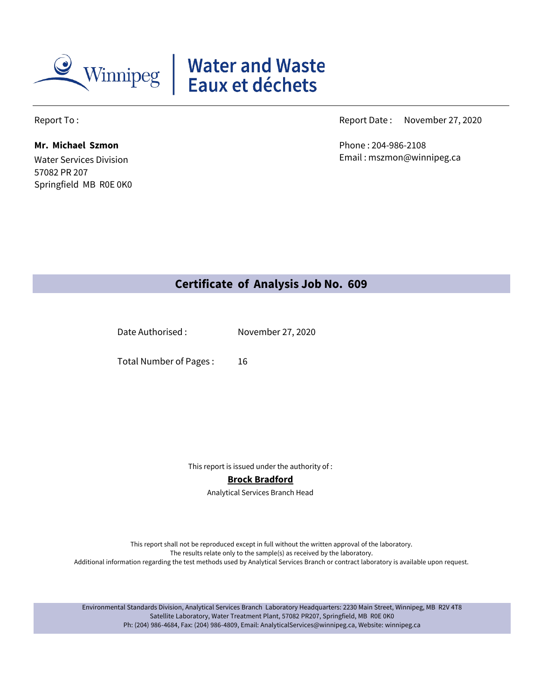

# Water and Waste<br>Eaux et déchets

Water Services Division 57082 PR 207 **Mr. Michael Szmon** Phone : 204-986-2108

Springfield MB R0E 0K0

Report To : November 27, 2020 and the settlement of the control of the Report Date : November 27, 2020

Email : mszmon@winnipeg.ca

# **Certificate of Analysis Job No. 609**

Date Authorised : November 27, 2020

16 Total Number of Pages :

This report is issued under the authority of :

#### **Brock Bradford**

Analytical Services Branch Head

This report shall not be reproduced except in full without the written approval of the laboratory. The results relate only to the sample(s) as received by the laboratory. Additional information regarding the test methods used by Analytical Services Branch or contract laboratory is available upon request.

Environmental Standards Division, Analytical Services Branch Laboratory Headquarters: 2230 Main Street, Winnipeg, MB R2V 4T8 Satellite Laboratory, Water Treatment Plant, 57082 PR207, Springfield, MB R0E 0K0 Ph: (204) 986-4684, Fax: (204) 986-4809, Email: AnalyticalServices@winnipeg.ca, Website: winnipeg.ca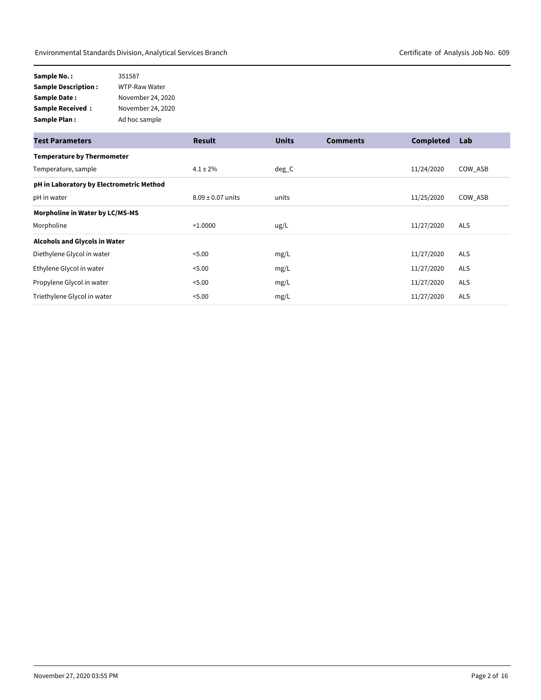| Sample No. :                | 351587            |
|-----------------------------|-------------------|
| <b>Sample Description :</b> | WTP-Raw Water     |
| Sample Date :               | November 24, 2020 |
| Sample Received :           | November 24, 2020 |
| Sample Plan :               | Ad hoc sample     |

| <b>Test Parameters</b>                   | <b>Result</b>         | <b>Units</b> | <b>Comments</b> | <b>Completed</b> | Lab        |
|------------------------------------------|-----------------------|--------------|-----------------|------------------|------------|
| <b>Temperature by Thermometer</b>        |                       |              |                 |                  |            |
| Temperature, sample                      | $4.1 \pm 2\%$         | $deg_C$      |                 | 11/24/2020       | COW_ASB    |
| pH in Laboratory by Electrometric Method |                       |              |                 |                  |            |
| pH in water                              | $8.09 \pm 0.07$ units | units        |                 | 11/25/2020       | COW ASB    |
| Morpholine in Water by LC/MS-MS          |                       |              |                 |                  |            |
| Morpholine                               | < 1.0000              | ug/L         |                 | 11/27/2020       | <b>ALS</b> |
| <b>Alcohols and Glycols in Water</b>     |                       |              |                 |                  |            |
| Diethylene Glycol in water               | < 5.00                | mg/L         |                 | 11/27/2020       | <b>ALS</b> |
| Ethylene Glycol in water                 | < 5.00                | mg/L         |                 | 11/27/2020       | <b>ALS</b> |
| Propylene Glycol in water                | < 5.00                | mg/L         |                 | 11/27/2020       | <b>ALS</b> |
| Triethylene Glycol in water              | < 5.00                | mg/L         |                 | 11/27/2020       | <b>ALS</b> |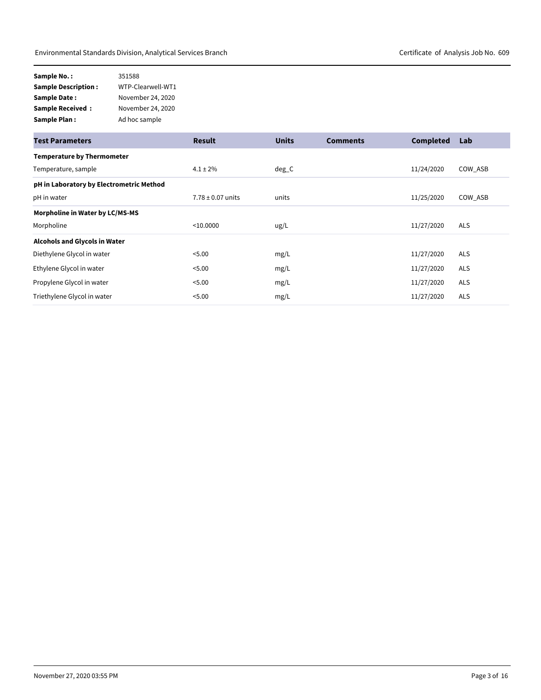| Sample No.:                | 351588            |
|----------------------------|-------------------|
| <b>Sample Description:</b> | WTP-Clearwell-WT1 |
| <b>Sample Date:</b>        | November 24, 2020 |
| <b>Sample Received:</b>    | November 24, 2020 |
| Sample Plan:               | Ad hoc sample     |

| <b>Test Parameters</b>                   | <b>Result</b>         | <b>Units</b> | <b>Comments</b> | <b>Completed</b> | Lab        |
|------------------------------------------|-----------------------|--------------|-----------------|------------------|------------|
| <b>Temperature by Thermometer</b>        |                       |              |                 |                  |            |
| Temperature, sample                      | $4.1 \pm 2\%$         | $deg_C$      |                 | 11/24/2020       | COW ASB    |
| pH in Laboratory by Electrometric Method |                       |              |                 |                  |            |
| pH in water                              | $7.78 \pm 0.07$ units | units        |                 | 11/25/2020       | COW_ASB    |
| Morpholine in Water by LC/MS-MS          |                       |              |                 |                  |            |
| Morpholine                               | < 10.0000             | ug/L         |                 | 11/27/2020       | <b>ALS</b> |
| Alcohols and Glycols in Water            |                       |              |                 |                  |            |
| Diethylene Glycol in water               | < 5.00                | mg/L         |                 | 11/27/2020       | <b>ALS</b> |
| Ethylene Glycol in water                 | < 5.00                | mg/L         |                 | 11/27/2020       | <b>ALS</b> |
| Propylene Glycol in water                | < 5.00                | mg/L         |                 | 11/27/2020       | <b>ALS</b> |
| Triethylene Glycol in water              | < 5.00                | mg/L         |                 | 11/27/2020       | <b>ALS</b> |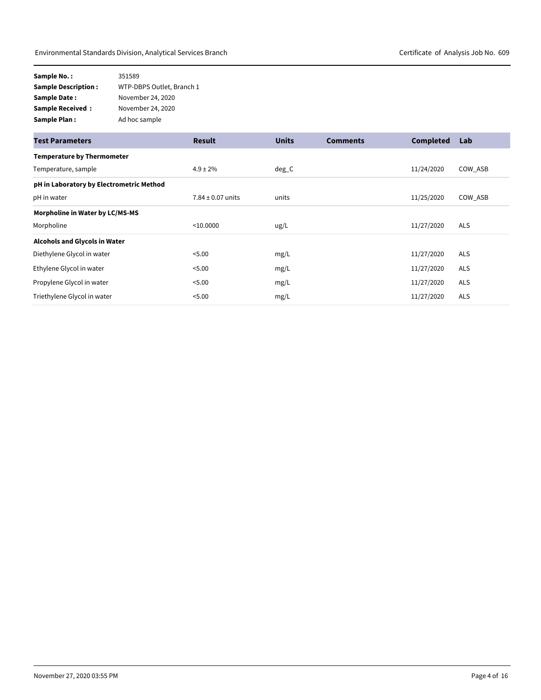| Sample No.:                | 351589                    |
|----------------------------|---------------------------|
| <b>Sample Description:</b> | WTP-DBPS Outlet, Branch 1 |
| Sample Date:               | November 24, 2020         |
| <b>Sample Received:</b>    | November 24, 2020         |
| Sample Plan:               | Ad hoc sample             |

| <b>Test Parameters</b>                   | <b>Result</b>         | <b>Units</b> | <b>Comments</b> | <b>Completed</b> | Lab        |
|------------------------------------------|-----------------------|--------------|-----------------|------------------|------------|
| <b>Temperature by Thermometer</b>        |                       |              |                 |                  |            |
| Temperature, sample                      | $4.9 \pm 2\%$         | $deg_C$      |                 | 11/24/2020       | COW ASB    |
| pH in Laboratory by Electrometric Method |                       |              |                 |                  |            |
| pH in water                              | $7.84 \pm 0.07$ units | units        |                 | 11/25/2020       | COW ASB    |
| Morpholine in Water by LC/MS-MS          |                       |              |                 |                  |            |
| Morpholine                               | < 10.0000             | ug/L         |                 | 11/27/2020       | <b>ALS</b> |
| <b>Alcohols and Glycols in Water</b>     |                       |              |                 |                  |            |
| Diethylene Glycol in water               | < 5.00                | mg/L         |                 | 11/27/2020       | <b>ALS</b> |
| Ethylene Glycol in water                 | < 5.00                | mg/L         |                 | 11/27/2020       | <b>ALS</b> |
| Propylene Glycol in water                | < 5.00                | mg/L         |                 | 11/27/2020       | <b>ALS</b> |
| Triethylene Glycol in water              | < 5.00                | mg/L         |                 | 11/27/2020       | <b>ALS</b> |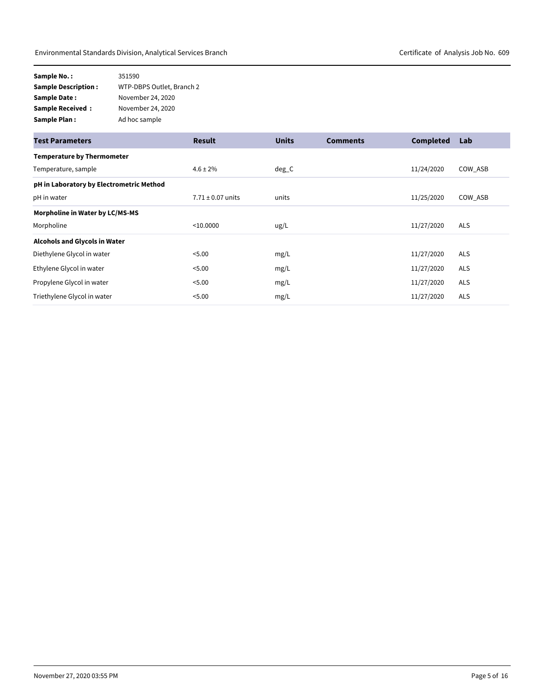| Sample No.:                | 351590                    |
|----------------------------|---------------------------|
| <b>Sample Description:</b> | WTP-DBPS Outlet, Branch 2 |
| Sample Date:               | November 24, 2020         |
| <b>Sample Received:</b>    | November 24, 2020         |
| Sample Plan:               | Ad hoc sample             |

| <b>Test Parameters</b>                   | <b>Result</b>         | <b>Units</b> | <b>Comments</b> | <b>Completed</b> | Lab        |
|------------------------------------------|-----------------------|--------------|-----------------|------------------|------------|
| <b>Temperature by Thermometer</b>        |                       |              |                 |                  |            |
| Temperature, sample                      | $4.6 \pm 2\%$         | $deg_C$      |                 | 11/24/2020       | COW ASB    |
| pH in Laboratory by Electrometric Method |                       |              |                 |                  |            |
| pH in water                              | $7.71 \pm 0.07$ units | units        |                 | 11/25/2020       | COW ASB    |
| Morpholine in Water by LC/MS-MS          |                       |              |                 |                  |            |
| Morpholine                               | < 10.0000             | ug/L         |                 | 11/27/2020       | <b>ALS</b> |
| <b>Alcohols and Glycols in Water</b>     |                       |              |                 |                  |            |
| Diethylene Glycol in water               | < 5.00                | mg/L         |                 | 11/27/2020       | <b>ALS</b> |
| Ethylene Glycol in water                 | < 5.00                | mg/L         |                 | 11/27/2020       | <b>ALS</b> |
| Propylene Glycol in water                | < 5.00                | mg/L         |                 | 11/27/2020       | <b>ALS</b> |
| Triethylene Glycol in water              | < 5.00                | mg/L         |                 | 11/27/2020       | <b>ALS</b> |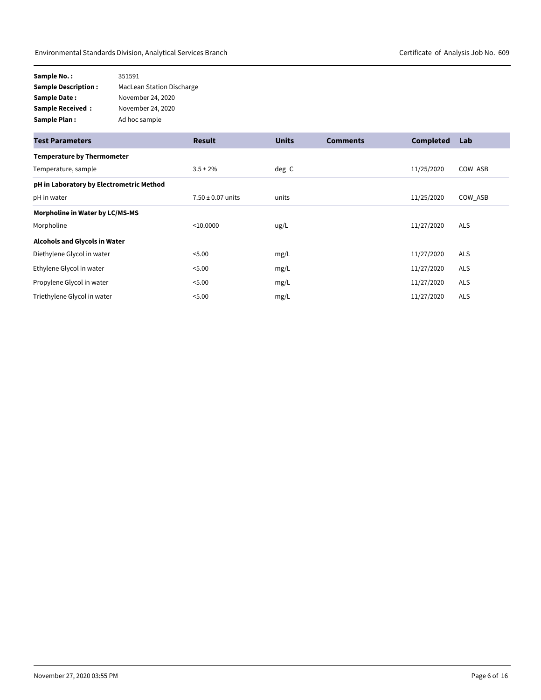| Sample No.:                | 351591                           |
|----------------------------|----------------------------------|
| <b>Sample Description:</b> | <b>MacLean Station Discharge</b> |
| <b>Sample Date:</b>        | November 24, 2020                |
| <b>Sample Received:</b>    | November 24, 2020                |
| <b>Sample Plan:</b>        | Ad hoc sample                    |

| <b>Test Parameters</b>                   | <b>Result</b>         | <b>Units</b> | <b>Comments</b> | <b>Completed</b> | Lab        |
|------------------------------------------|-----------------------|--------------|-----------------|------------------|------------|
| <b>Temperature by Thermometer</b>        |                       |              |                 |                  |            |
| Temperature, sample                      | $3.5 \pm 2\%$         | $deg_C$      |                 | 11/25/2020       | COW ASB    |
| pH in Laboratory by Electrometric Method |                       |              |                 |                  |            |
| pH in water                              | $7.50 \pm 0.07$ units | units        |                 | 11/25/2020       | COW ASB    |
| Morpholine in Water by LC/MS-MS          |                       |              |                 |                  |            |
| Morpholine                               | < 10.0000             | ug/L         |                 | 11/27/2020       | <b>ALS</b> |
| <b>Alcohols and Glycols in Water</b>     |                       |              |                 |                  |            |
| Diethylene Glycol in water               | < 5.00                | mg/L         |                 | 11/27/2020       | <b>ALS</b> |
| Ethylene Glycol in water                 | < 5.00                | mg/L         |                 | 11/27/2020       | <b>ALS</b> |
| Propylene Glycol in water                | < 5.00                | mg/L         |                 | 11/27/2020       | <b>ALS</b> |
| Triethylene Glycol in water              | < 5.00                | mg/L         |                 | 11/27/2020       | <b>ALS</b> |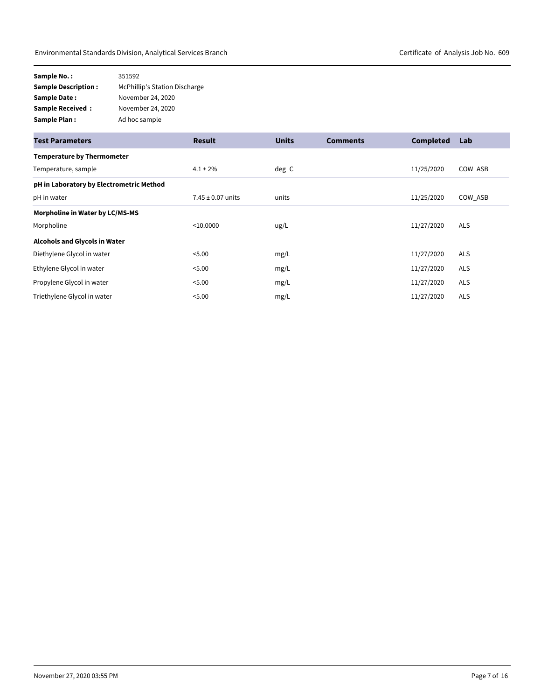| Sample No.:                | 351592                               |
|----------------------------|--------------------------------------|
| <b>Sample Description:</b> | <b>McPhillip's Station Discharge</b> |
| Sample Date:               | November 24, 2020                    |
| <b>Sample Received:</b>    | November 24, 2020                    |
| Sample Plan:               | Ad hoc sample                        |

| <b>Test Parameters</b>                   | <b>Result</b>         | <b>Units</b> | <b>Comments</b> | <b>Completed</b> | Lab        |
|------------------------------------------|-----------------------|--------------|-----------------|------------------|------------|
| <b>Temperature by Thermometer</b>        |                       |              |                 |                  |            |
| Temperature, sample                      | $4.1 \pm 2\%$         | $deg_C$      |                 | 11/25/2020       | COW ASB    |
| pH in Laboratory by Electrometric Method |                       |              |                 |                  |            |
| pH in water                              | $7.45 \pm 0.07$ units | units        |                 | 11/25/2020       | COW_ASB    |
| Morpholine in Water by LC/MS-MS          |                       |              |                 |                  |            |
| Morpholine                               | < 10.0000             | ug/L         |                 | 11/27/2020       | <b>ALS</b> |
| <b>Alcohols and Glycols in Water</b>     |                       |              |                 |                  |            |
| Diethylene Glycol in water               | < 5.00                | mg/L         |                 | 11/27/2020       | <b>ALS</b> |
| Ethylene Glycol in water                 | < 5.00                | mg/L         |                 | 11/27/2020       | <b>ALS</b> |
| Propylene Glycol in water                | < 5.00                | mg/L         |                 | 11/27/2020       | <b>ALS</b> |
| Triethylene Glycol in water              | < 5.00                | mg/L         |                 | 11/27/2020       | <b>ALS</b> |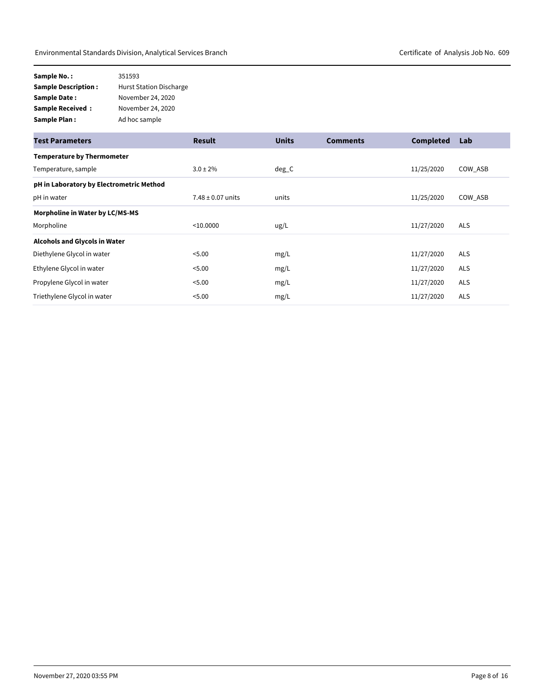| Sample No.:                | 351593                         |
|----------------------------|--------------------------------|
| <b>Sample Description:</b> | <b>Hurst Station Discharge</b> |
| <b>Sample Date:</b>        | November 24, 2020              |
| <b>Sample Received:</b>    | November 24, 2020              |
| <b>Sample Plan:</b>        | Ad hoc sample                  |

| <b>Test Parameters</b>                   | <b>Result</b>         | <b>Units</b> | <b>Comments</b> | <b>Completed</b> | Lab        |
|------------------------------------------|-----------------------|--------------|-----------------|------------------|------------|
| <b>Temperature by Thermometer</b>        |                       |              |                 |                  |            |
| Temperature, sample                      | $3.0 \pm 2\%$         | $deg_C$      |                 | 11/25/2020       | COW ASB    |
| pH in Laboratory by Electrometric Method |                       |              |                 |                  |            |
| pH in water                              | $7.48 \pm 0.07$ units | units        |                 | 11/25/2020       | COW ASB    |
| Morpholine in Water by LC/MS-MS          |                       |              |                 |                  |            |
| Morpholine                               | < 10.0000             | ug/L         |                 | 11/27/2020       | <b>ALS</b> |
| Alcohols and Glycols in Water            |                       |              |                 |                  |            |
| Diethylene Glycol in water               | < 5.00                | mg/L         |                 | 11/27/2020       | <b>ALS</b> |
| Ethylene Glycol in water                 | < 5.00                | mg/L         |                 | 11/27/2020       | <b>ALS</b> |
| Propylene Glycol in water                | < 5.00                | mg/L         |                 | 11/27/2020       | <b>ALS</b> |
| Triethylene Glycol in water              | < 5.00                | mg/L         |                 | 11/27/2020       | <b>ALS</b> |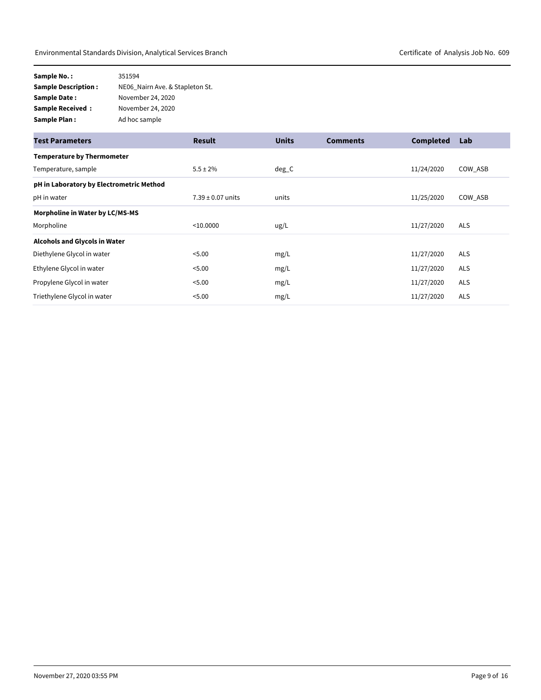| Sample No.:                | 351594                          |
|----------------------------|---------------------------------|
| <b>Sample Description:</b> | NE06 Nairn Ave. & Stapleton St. |
| Sample Date:               | November 24, 2020               |
| <b>Sample Received:</b>    | November 24, 2020               |
| Sample Plan:               | Ad hoc sample                   |

| <b>Test Parameters</b>                   | <b>Result</b>         | <b>Units</b> | <b>Comments</b> | <b>Completed</b> | Lab        |
|------------------------------------------|-----------------------|--------------|-----------------|------------------|------------|
| <b>Temperature by Thermometer</b>        |                       |              |                 |                  |            |
| Temperature, sample                      | $5.5 \pm 2\%$         | $deg_C$      |                 | 11/24/2020       | COW ASB    |
| pH in Laboratory by Electrometric Method |                       |              |                 |                  |            |
| pH in water                              | $7.39 \pm 0.07$ units | units        |                 | 11/25/2020       | COW ASB    |
| Morpholine in Water by LC/MS-MS          |                       |              |                 |                  |            |
| Morpholine                               | < 10.0000             | ug/L         |                 | 11/27/2020       | <b>ALS</b> |
| <b>Alcohols and Glycols in Water</b>     |                       |              |                 |                  |            |
| Diethylene Glycol in water               | < 5.00                | mg/L         |                 | 11/27/2020       | <b>ALS</b> |
| Ethylene Glycol in water                 | < 5.00                | mg/L         |                 | 11/27/2020       | <b>ALS</b> |
| Propylene Glycol in water                | < 5.00                | mg/L         |                 | 11/27/2020       | <b>ALS</b> |
| Triethylene Glycol in water              | < 5.00                | mg/L         |                 | 11/27/2020       | <b>ALS</b> |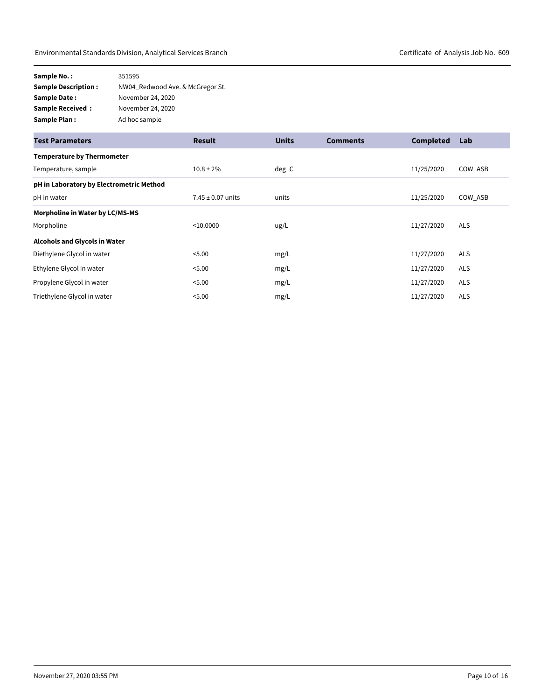| Sample No.:                | 351595                           |
|----------------------------|----------------------------------|
| <b>Sample Description:</b> | NW04 Redwood Ave. & McGregor St. |
| Sample Date:               | November 24, 2020                |
| <b>Sample Received:</b>    | November 24, 2020                |
| Sample Plan:               | Ad hoc sample                    |

| <b>Test Parameters</b>                   | <b>Result</b>         | <b>Units</b> | <b>Comments</b> | <b>Completed</b> | Lab        |
|------------------------------------------|-----------------------|--------------|-----------------|------------------|------------|
| <b>Temperature by Thermometer</b>        |                       |              |                 |                  |            |
| Temperature, sample                      | $10.8 \pm 2\%$        | $deg_C$      |                 | 11/25/2020       | COW ASB    |
| pH in Laboratory by Electrometric Method |                       |              |                 |                  |            |
| pH in water                              | $7.45 \pm 0.07$ units | units        |                 | 11/25/2020       | COW ASB    |
| Morpholine in Water by LC/MS-MS          |                       |              |                 |                  |            |
| Morpholine                               | < 10.0000             | ug/L         |                 | 11/27/2020       | <b>ALS</b> |
| <b>Alcohols and Glycols in Water</b>     |                       |              |                 |                  |            |
| Diethylene Glycol in water               | < 5.00                | mg/L         |                 | 11/27/2020       | <b>ALS</b> |
| Ethylene Glycol in water                 | < 5.00                | mg/L         |                 | 11/27/2020       | <b>ALS</b> |
| Propylene Glycol in water                | < 5.00                | mg/L         |                 | 11/27/2020       | <b>ALS</b> |
| Triethylene Glycol in water              | < 5.00                | mg/L         |                 | 11/27/2020       | <b>ALS</b> |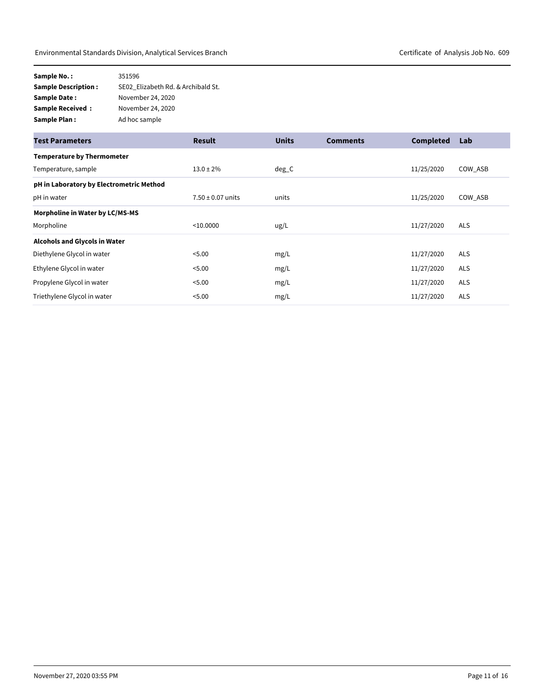| Sample No.:                | 351596                             |
|----------------------------|------------------------------------|
| <b>Sample Description:</b> | SE02 Elizabeth Rd. & Archibald St. |
| Sample Date:               | November 24, 2020                  |
| <b>Sample Received:</b>    | November 24, 2020                  |
| Sample Plan:               | Ad hoc sample                      |

| <b>Test Parameters</b>                   | <b>Result</b>         | <b>Units</b> | <b>Comments</b> | <b>Completed</b> | Lab        |
|------------------------------------------|-----------------------|--------------|-----------------|------------------|------------|
| <b>Temperature by Thermometer</b>        |                       |              |                 |                  |            |
| Temperature, sample                      | $13.0 \pm 2\%$        | $deg_C$      |                 | 11/25/2020       | COW ASB    |
| pH in Laboratory by Electrometric Method |                       |              |                 |                  |            |
| pH in water                              | $7.50 \pm 0.07$ units | units        |                 | 11/25/2020       | COW ASB    |
| Morpholine in Water by LC/MS-MS          |                       |              |                 |                  |            |
| Morpholine                               | < 10.0000             | ug/L         |                 | 11/27/2020       | <b>ALS</b> |
| <b>Alcohols and Glycols in Water</b>     |                       |              |                 |                  |            |
| Diethylene Glycol in water               | < 5.00                | mg/L         |                 | 11/27/2020       | <b>ALS</b> |
| Ethylene Glycol in water                 | < 5.00                | mg/L         |                 | 11/27/2020       | <b>ALS</b> |
| Propylene Glycol in water                | < 5.00                | mg/L         |                 | 11/27/2020       | <b>ALS</b> |
| Triethylene Glycol in water              | < 5.00                | mg/L         |                 | 11/27/2020       | <b>ALS</b> |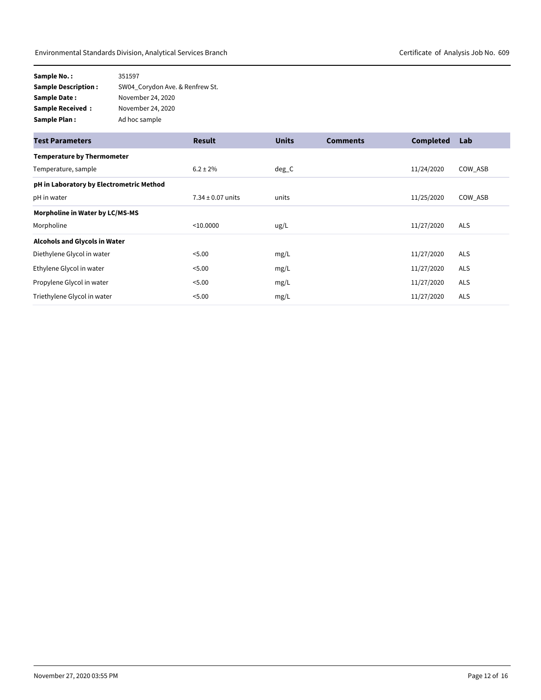| Sample No.:                | 351597                          |
|----------------------------|---------------------------------|
| <b>Sample Description:</b> | SW04 Corydon Ave. & Renfrew St. |
| Sample Date:               | November 24, 2020               |
| <b>Sample Received:</b>    | November 24, 2020               |
| Sample Plan:               | Ad hoc sample                   |

| <b>Test Parameters</b>                   | <b>Result</b>         | <b>Units</b> | <b>Comments</b> | <b>Completed</b> | Lab        |
|------------------------------------------|-----------------------|--------------|-----------------|------------------|------------|
| <b>Temperature by Thermometer</b>        |                       |              |                 |                  |            |
| Temperature, sample                      | $6.2 \pm 2\%$         | $deg_C$      |                 | 11/24/2020       | COW ASB    |
| pH in Laboratory by Electrometric Method |                       |              |                 |                  |            |
| pH in water                              | $7.34 \pm 0.07$ units | units        |                 | 11/25/2020       | COW_ASB    |
| Morpholine in Water by LC/MS-MS          |                       |              |                 |                  |            |
| Morpholine                               | < 10.0000             | ug/L         |                 | 11/27/2020       | <b>ALS</b> |
| <b>Alcohols and Glycols in Water</b>     |                       |              |                 |                  |            |
| Diethylene Glycol in water               | < 5.00                | mg/L         |                 | 11/27/2020       | <b>ALS</b> |
| Ethylene Glycol in water                 | < 5.00                | mg/L         |                 | 11/27/2020       | <b>ALS</b> |
| Propylene Glycol in water                | < 5.00                | mg/L         |                 | 11/27/2020       | <b>ALS</b> |
| Triethylene Glycol in water              | < 5.00                | mg/L         |                 | 11/27/2020       | <b>ALS</b> |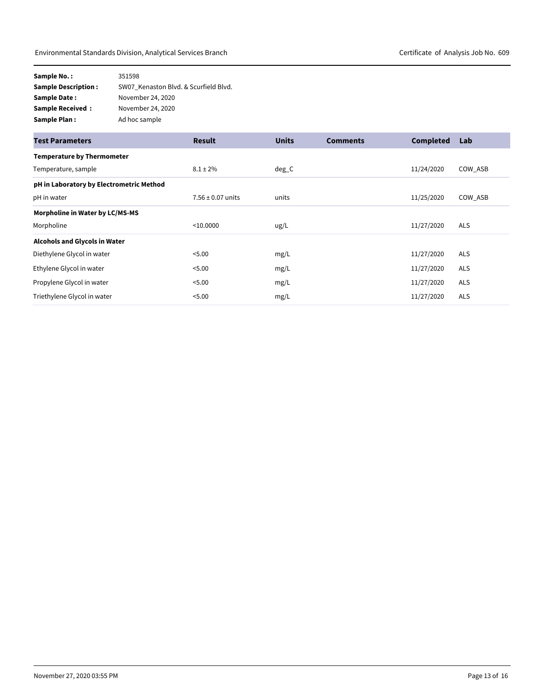| Sample No.:                | 351598                                |
|----------------------------|---------------------------------------|
| <b>Sample Description:</b> | SW07 Kenaston Blvd. & Scurfield Blvd. |
| Sample Date:               | November 24, 2020                     |
| <b>Sample Received:</b>    | November 24, 2020                     |
| Sample Plan:               | Ad hoc sample                         |

| <b>Test Parameters</b>                   | <b>Result</b>         | <b>Units</b> | <b>Comments</b> | <b>Completed</b> | Lab        |
|------------------------------------------|-----------------------|--------------|-----------------|------------------|------------|
| <b>Temperature by Thermometer</b>        |                       |              |                 |                  |            |
| Temperature, sample                      | $8.1 \pm 2\%$         | $deg_C$      |                 | 11/24/2020       | COW ASB    |
| pH in Laboratory by Electrometric Method |                       |              |                 |                  |            |
| pH in water                              | $7.56 \pm 0.07$ units | units        |                 | 11/25/2020       | COW ASB    |
| Morpholine in Water by LC/MS-MS          |                       |              |                 |                  |            |
| Morpholine                               | < 10.0000             | ug/L         |                 | 11/27/2020       | <b>ALS</b> |
| <b>Alcohols and Glycols in Water</b>     |                       |              |                 |                  |            |
| Diethylene Glycol in water               | < 5.00                | mg/L         |                 | 11/27/2020       | <b>ALS</b> |
| Ethylene Glycol in water                 | < 5.00                | mg/L         |                 | 11/27/2020       | <b>ALS</b> |
| Propylene Glycol in water                | < 5.00                | mg/L         |                 | 11/27/2020       | <b>ALS</b> |
| Triethylene Glycol in water              | < 5.00                | mg/L         |                 | 11/27/2020       | <b>ALS</b> |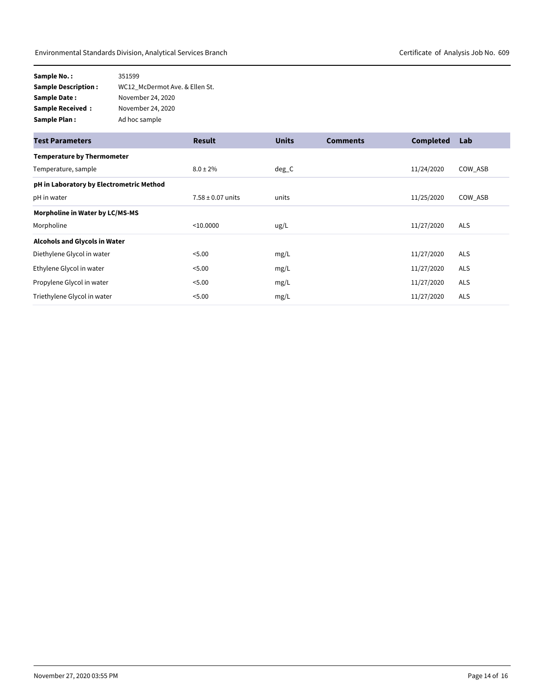| Sample No.:                | 351599                         |
|----------------------------|--------------------------------|
| <b>Sample Description:</b> | WC12 McDermot Ave. & Ellen St. |
| Sample Date:               | November 24, 2020              |
| <b>Sample Received:</b>    | November 24, 2020              |
| Sample Plan:               | Ad hoc sample                  |

| <b>Test Parameters</b>                   | <b>Result</b>         | <b>Units</b> | <b>Comments</b> | <b>Completed</b> | Lab        |
|------------------------------------------|-----------------------|--------------|-----------------|------------------|------------|
| <b>Temperature by Thermometer</b>        |                       |              |                 |                  |            |
| Temperature, sample                      | $8.0 \pm 2\%$         | $deg_C$      |                 | 11/24/2020       | COW ASB    |
| pH in Laboratory by Electrometric Method |                       |              |                 |                  |            |
| pH in water                              | $7.58 \pm 0.07$ units | units        |                 | 11/25/2020       | COW ASB    |
| Morpholine in Water by LC/MS-MS          |                       |              |                 |                  |            |
| Morpholine                               | < 10.0000             | ug/L         |                 | 11/27/2020       | <b>ALS</b> |
| <b>Alcohols and Glycols in Water</b>     |                       |              |                 |                  |            |
| Diethylene Glycol in water               | < 5.00                | mg/L         |                 | 11/27/2020       | <b>ALS</b> |
| Ethylene Glycol in water                 | < 5.00                | mg/L         |                 | 11/27/2020       | <b>ALS</b> |
| Propylene Glycol in water                | < 5.00                | mg/L         |                 | 11/27/2020       | <b>ALS</b> |
| Triethylene Glycol in water              | < 5.00                | mg/L         |                 | 11/27/2020       | <b>ALS</b> |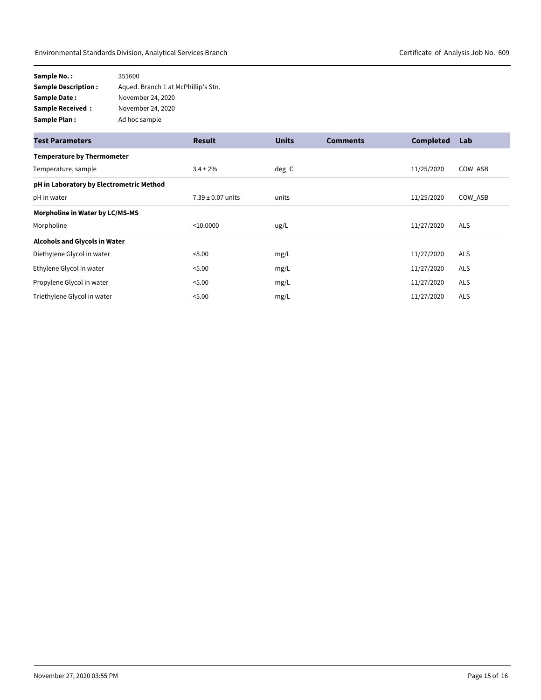| Sample No.:                | 351600                              |
|----------------------------|-------------------------------------|
| <b>Sample Description:</b> | Aqued. Branch 1 at McPhillip's Stn. |
| Sample Date:               | November 24, 2020                   |
| <b>Sample Received:</b>    | November 24, 2020                   |
| Sample Plan:               | Ad hoc sample                       |

| <b>Test Parameters</b>                   | <b>Result</b>         | <b>Units</b> | <b>Comments</b> | <b>Completed</b> | Lab        |
|------------------------------------------|-----------------------|--------------|-----------------|------------------|------------|
| <b>Temperature by Thermometer</b>        |                       |              |                 |                  |            |
| Temperature, sample                      | $3.4 \pm 2\%$         | $deg_C$      |                 | 11/25/2020       | COW ASB    |
| pH in Laboratory by Electrometric Method |                       |              |                 |                  |            |
| pH in water                              | $7.39 \pm 0.07$ units | units        |                 | 11/25/2020       | COW ASB    |
| Morpholine in Water by LC/MS-MS          |                       |              |                 |                  |            |
| Morpholine                               | < 10.0000             | ug/L         |                 | 11/27/2020       | <b>ALS</b> |
| <b>Alcohols and Glycols in Water</b>     |                       |              |                 |                  |            |
| Diethylene Glycol in water               | < 5.00                | mg/L         |                 | 11/27/2020       | <b>ALS</b> |
| Ethylene Glycol in water                 | < 5.00                | mg/L         |                 | 11/27/2020       | <b>ALS</b> |
| Propylene Glycol in water                | < 5.00                | mg/L         |                 | 11/27/2020       | <b>ALS</b> |
| Triethylene Glycol in water              | < 5.00                | mg/L         |                 | 11/27/2020       | <b>ALS</b> |